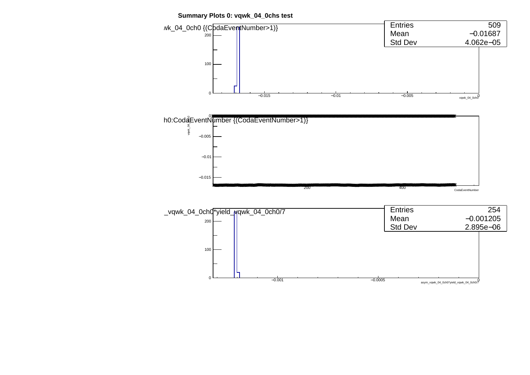**Summary Plots 0: vqwk\_04\_0chs test**

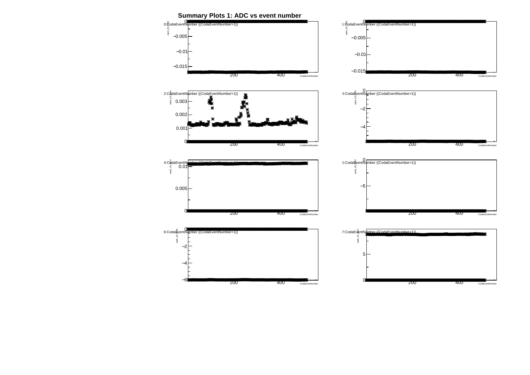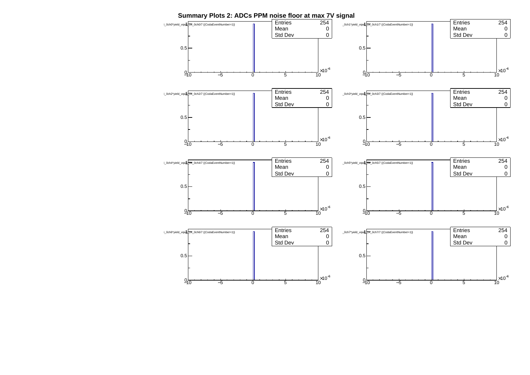